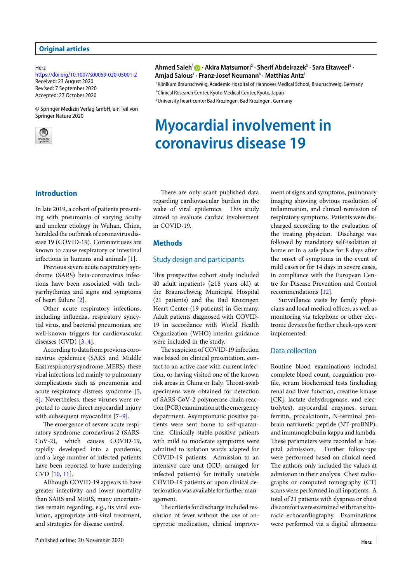Herz

https://doi.org/10.1007/s00059-020-05001-2 Received: 23 August 2020 Revised: 7 September 2020 Accepted: 27 October 2020

© Springer Medizin Verlag GmbH, ein Teil von Springer Nature 2020



#### **Ahmed Saleh1 · Akira Matsumori2 · Sherif Abdelrazek3 · Sara Eltaweel3 · Amjad Salous1 · Franz-Josef Neumann3 · Matthias Antz1**

<sup>1</sup> Klinikum Braunschweig, Academic Hospital of Hannover Medical School, Braunschweig, Germany

<sup>2</sup> Clinical Research Center, Kyoto Medical Center, Kyoto, Japan

<sup>3</sup> University heart center Bad Krozingen, Bad Krozingen, Germany

# **Myocardial involvement in coronavirus disease 19**

# **Introduction**

In late 2019, a cohort of patients presenting with pneumonia of varying acuity and unclear etiology in Wuhan, China, heralded the outbreak of coronavirus disease 19 (COVID-19). Coronaviruses are known to cause respiratory or intestinal infections in humans and animals [1].

Previous severe acute respiratory syndrome (SARS) beta-coronavirus infections have been associated with tachyarrhythmias and signs and symptoms of heart failure [2].

Other acute respiratory infections, including influenza, respiratory syncytial virus, and bacterial pneumonias, are well-known triggers for cardiovascular diseases (CVD)  $[3, 4]$ .

According to data from previous coronavirus epidemics (SARS and Middle East respiratory syndrome, MERS), these viral infections led mainly to pulmonary complications such as pneumonia and acute respiratory distress syndrome [5, 6]. Nevertheless, these viruses were reported to cause direct myocardial injury with subsequent myocarditis [7–9].

The emergence of severe acute respiratory syndrome coronavirus 2 (SARS-CoV-2), which causes COVID-19, rapidly developed into a pandemic, and a large number of infected patients have been reported to have underlying CVD [10, 11].

Although COVID-19 appears to have greater infectivity and lower mortality than SARS and MERS, many uncertainties remain regarding, e.g., its viral evolution, appropriate anti-viral treatment, and strategies for disease control.

There are only scant published data regarding cardiovascular burden in the wake of viral epidemics. This study aimed to evaluate cardiac involvement in COVID-19.

### **Methods**

### Study design and participants

This prospective cohort study included 40 adult inpatients (≥18 years old) at the Braunschweig Municipal Hospital (21 patients) and the Bad Krozingen Heart Center (19 patients) in Germany. Adult patients diagnosed with COVID-19 in accordance with World Health Organization (WHO) interim guidance were included in the study.

The suspicion of COVID-19 infection was based on clinical presentation, contact to an active case with current infection, or having visited one of the known risk areas in China or Italy. Throat-swab specimens were obtained for detection of SARS-CoV-2 polymerase chain reaction (PCR) examinationat the emergency department. Asymptomatic positive patients were sent home to self-quarantine. Clinically stable positive patients with mild to moderate symptoms were admitted to isolation wards adapted for COVID-19 patients. Admission to an intensive care unit (ICU; arranged for infected patients) for initially unstable COVID-19 patients or upon clinical deterioration was available for further management.

The criteria for discharge included resolution of fever without the use of antipyretic medication, clinical improvement of signs and symptoms, pulmonary imaging showing obvious resolution of inflammation, and clinical remission of respiratory symptoms. Patients were discharged according to the evaluation of the treating physician. Discharge was followed by mandatory self-isolation at home or in a safe place for 8 days afer the onset of symptoms in the event of mild cases or for 14 days in severe cases, in compliance with the European Centre for Disease Prevention and Control recommendations [12].

Surveillance visits by family physicians and local medical offices, as well as monitoring via telephone or other electronic devices for further check-ups were implemented.

#### Data collection

Routine blood examinations included complete blood count, coagulation profile, serum biochemical tests (including renal and liver function, creatine kinase [CK], lactate dehydrogenase, and electrolytes), myocardial enzymes, serum ferritin, procalcitonin, N-terminal probrain natriuretic peptide (NT-proBNP), and immunoglobulin kappa and lambda. These parameters were recorded at hospital admission. Further follow-ups were performed based on clinical need. The authors only included the values at admission in their analysis. Chest radiographs or computed tomography (CT) scans were performed in all inpatients. A total of 21 patients with dyspnea or chest discomfortwereexaminedwith transthoracic echocardiography. Examinations were performed via a digital ultrasonic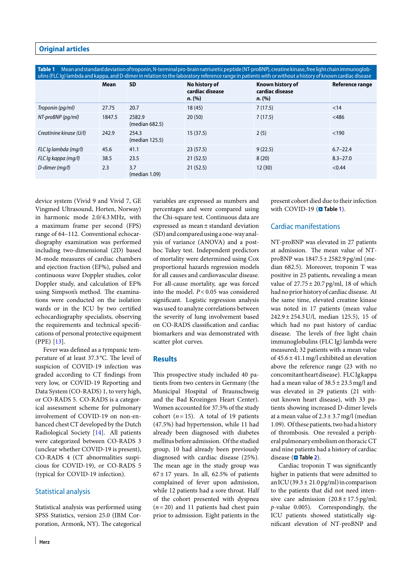Table 1 Mean and standard deviation of troponin, N-terminal pro-brain natriuretic peptide (NT-proBNP), creatine kinase, free light chain immunoglobulins (FLC Ig) lambda and kappa, and D-dimer in relation to the laboratory reference range in patients with orwithout a history of known cardiac disease

| umb (FLC iy) lambua anu kappa, anu D-umici imiciativn to the laboratory relefence lange in patients with or without a mstory or Known calulat uisease |        |                          |                                            |                                               |                 |
|-------------------------------------------------------------------------------------------------------------------------------------------------------|--------|--------------------------|--------------------------------------------|-----------------------------------------------|-----------------|
|                                                                                                                                                       | Mean   | <b>SD</b>                | No history of<br>cardiac disease<br>n. (%) | Known history of<br>cardiac disease<br>n. (%) | Reference range |
| Troponin (pg/ml)                                                                                                                                      | 27.75  | 20.7                     | 18(45)                                     | 7(17.5)                                       | < 14            |
| NT-proBNP (pg/ml)                                                                                                                                     | 1847.5 | 2582.9<br>(median 682.5) | 20(50)                                     | 7(17.5)                                       | < 486           |
| Creatinine kinase (U/I)                                                                                                                               | 242.9  | 254.3<br>(median 125.5)  | 15(37.5)                                   | 2(5)                                          | < 190           |
| FLC Iq lambda (mq/l)                                                                                                                                  | 45.6   | 41.1                     | 23(57.5)                                   | 9(22.5)                                       | $6.7 - 22.4$    |
| FLC Ig kappa (mg/l)                                                                                                                                   | 38.5   | 23.5                     | 21(52.5)                                   | 8(20)                                         | $8.3 - 27.0$    |
| D-dimer (mg/l)                                                                                                                                        | 2.3    | 3.7<br>(median 1.09)     | 21(52.5)                                   | 12(30)                                        | < 0.44          |

device system (Vivid 9 and Vivid 7, GE Vingmed Ultrasound, Horten, Norway) in harmonic mode 2.0/4.3MHz, with a maximum frame per second (FPS) range of 64–112. Conventional echocardiography examination was performed including two-dimensional (2D) based M-mode measures of cardiac chambers and ejection fraction (EF%), pulsed and continuous wave Doppler studies, color Doppler study, and calculation of EF% using Simpson's method. The examinations were conducted on the isolation wards or in the ICU by two certified echocardiography specialists, observing the requirements and technical specifications of personal protective equipment (PPE) [13].

Fever was defined as a tympanic temperature of at least 37.3 °C. The level of suspicion of COVID-19 infection was graded according to CT findings from very low, or COVID-19 Reporting and Data System (CO-RADS) 1, to very high, or CO-RADS 5. CO-RADS is a categorical assessment scheme for pulmonary involvement of COVID-19 on non-enhanced chest CT developed by the Dutch Radiological Society [14]. All patients were categorized between CO-RADS 3 (unclear whether COVID-19 is present), CO-RADS 4 (CT abnormalities suspicious for COVID-19), or CO-RADS 5 (typical for COVID-19 infection).

# Statistical analysis

Statistical analysis was performed using SPSS Statistics, version 25.0 (IBM Corporation, Armonk, NY). The categorical variables are expressed as numbers and percentages and were compared using the Chi-square test. Continuous data are expressed as mean ± standard deviation (SD)and compared using a one-wayanalysis of variance (ANOVA) and a posthoc Tukey test. Independent predictors of mortality were determined using Cox proportional hazards regression models for all causes and cardiovascular disease. For all-cause mortality, age was forced into the model. *P*< 0.05 was considered significant. Logistic regression analysis was used to analyze correlations between the severity of lung involvement based on CO-RADS classification and cardiac biomarkers and was demonstrated with scatter plot curves.

### **Results**

This prospective study included 40 patients from two centers in Germany (the Municipal Hospital of Braunschweig and the Bad Krozingen Heart Center). Women accounted for 37.5% of the study cohort  $(n=15)$ . A total of 19 patients (47.5%) had hypertension, while 11 had already been diagnosed with diabetes mellitus before admission. Of the studied group, 10 had already been previously diagnosed with cardiac disease (25%). The mean age in the study group was  $67 \pm 17$  years. In all, 62.5% of patients complained of fever upon admission, while 12 patients had a sore throat. Half of the cohort presented with dyspnea  $(n=20)$  and 11 patients had chest pain prior to admission. Eight patients in the present cohort died due to their infection with COVID-19 (**n** Table 1).

# Cardiac manifestations

NT-proBNP was elevated in 27 patients at admission. The mean value of NTproBNP was 1847.5 ± 2582.9 pg/ml (median 682.5). Moreover, troponin T was positive in 25 patients, revealing a mean value of  $27.75 \pm 20.7$  pg/ml, 18 of which had no prior history of cardiac disease. At the same time, elevated creatine kinase was noted in 17 patients (mean value 242.9 ± 254.3 U/l, median 125.5), 15 of which had no past history of cardiac disease. The levels of free light chain immunoglobulins (FLC Ig) lambda were measured; 32 patients with a mean value of  $45.6 \pm 41.1$  mg/l exhibited an elevation above the reference range (23 with no concomitantheartdisease). FLC Igkappa had a mean value of  $38.5 \pm 23.5$  mg/l and was elevated in 29 patients (21 without known heart disease), with 33 patients showing increased D-dimer levels at a mean value of  $2.3 \pm 3.7$  mg/l (median 1.09). Of these patients, two had a history of thrombosis. One revealed a peripheral pulmonary embolism on thoracicCT and nine patients had a history of cardiac disease (**D** Table 2).

Cardiac troponin T was significantly higher in patients that were admitted to an ICU (39.3  $\pm$  21.0 pg/ml) in comparison to the patients that did not need intensive care admission  $(20.8 \pm 17.5 \,\text{pc/m}$ . *p*-value 0.005). Correspondingly, the ICU patients showed statistically significant elevation of NT-proBNP and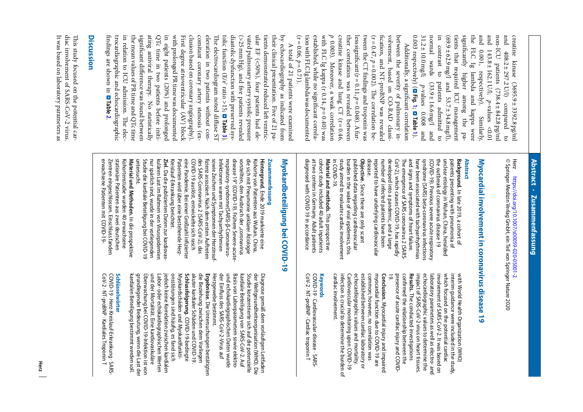pue  $31.2 \pm 10.0$  mg/l; Ë significantly the pue and 0.003 respectively) (D 31.2 ± 10.0mg/l; normal wards  $(33.9 \pm 16.6 \,\mathrm{mg/l})$  and normal wards in contrast to patients admitted to  $(69.9 \pm 62.9 \,\text{mg}/\text{J}$  and 53.7±34.8 mg/l),  $(69.9 \pm 62.9 \,\text{mg}/\text{J} \quad \text{and} \quad 53.7 \pm 34.8 \,\text{mg}/\text{J}),$ tients that required ICU management tients that required ICU management significantly higher among the pathe FLC Ig lambda and kappa were and 0.001, respectively). Similarly, and 143.8 ± 162.1 U/l; non-ICU patients  $(738.4 \pm 842.8 \text{ pg/m})$ non-ICU patients  $(738.4 \pm 842.8 \text{ pg/m}]$ and  $408.2 \pm 297.2$  U/l) compared to creatine kinase  $(3695.9 \pm 3392.8 \text{pg/m})$ creatine kinase  $(3695.9 \pm 3392.8 \text{pg/ml})$ contrast to  $_{\rm HIC}$  ig  $0.001,$ 143.8 ± 162.1 U/l;  $p$ -values <0.01  $408.2 \pm 297.2$  U/I) higher respectively). lambda and kappa were p-values 0.008 and  $(33.9 \pm 16.6 \,\mathrm{mg}/\mathrm{l})$ patients admitted to *p*-values 0.008 and Suoure **Fig.** compared *p*-values <0.01 **<sup>1</sup>**; . Similarly the **Table** gmd **1**). pa- $\overline{c}$ 

established, while no significant correlacreatine kinase and lung CT ( $r = 0.46$ , creating  $p = 0.003$ ). Moreover, a weak correlation ther correlation was revealed between between the severity of pulmonary in- $(r = 0.06, p = 0.71).$ tionwith FLC Iglambdawas documented established, while no significant correlawith FLC Ig kappa (r 0.14, creatine kinase and lung CT ( $r = 0.46$ , ther correlation was revealed between less significant  $(r = 0.11, p = 0.048)$ . A fur $less significant (r = 0.11,$ tween the CT findings and troponin was tween the CT findings and troponin was  $(r = 0.47, p = 0.002).$ fication, and NT-proBNP was revealed fication, and NT-proBNP was revealed volvement, based on CO-RAD classivolvement, based on CO-RAD classibetween the severity of pulmonary in-0.003). Moreover, a weak correlation Additionally, a significant correlation Additionally, a significant correlation Moreover, a weak correlation E e correlation be-= 0.048). Afur*p*= 0.40) was

significant difference was found between ating antiviral therapy. QTc time in two patients before initiin eight patients (20%) and prolonged with prolonged PR time was documented First degree atrioventricular (AV) block clusion based on coronary angiography). comitant coronary artery stenosis (exelevation in two patients without con-The electrocardiogram noted diffuse ST diastolic dysfunction with preserved sys- $(>25\,{\rm mm}\,{\rm Hg})$  , and five patients revealed findings are shown in trocardiographic and echocardiographic trocardiographic and echocardiographic in relation to ICU admission. the mean values of PR time and QTc time the mean values of PR time and QTc time significant di ating antiviral therapy. No statistically QTc time in two patients before initiin eight patients (20%) and prolonged with prolonged PR time was documented First degree atrioventricular (AV) block clusion based on coronary angiography). comitant coronary artery stenosis (exelevation in two patients without contolic function (E/e' ratio >15; diastolic dysfunction with preserved sys- (>25mm Hg), and five patients revealed vated pulmonary artery systolic pressure vated pulmonary artery systolic pressure ular EF (<50%), four patients had eleular EF (<50%), four patients had ele tients demonstrated reduced le their clinical presentation. Five of 21 patheir clinical presentation. Five of 21 paby echocardiography as indicated from by echocardiography as indicated from A total of 21 patients were examined e electrocardiogram noted diffuse ST A total of 21 patients were examined fference was found between . No statistically **Table** . **<sup>2</sup>**. f ventric-E **Table** e elec-**3**).

# **Discussion**

This study focused on the potential car-It was based on laboratory parameters as It was based on laboratory parameters as diac involvement of SARS-CoV-2 virus. diac involvement of SARS-CoV-2 virus. is study focused on the potential car-

# Abstract · Zusammenfassung **Abstract · Zusammenfassung**

Herz © Springer Medizin Verlag GmbH, ein Teil von Springer Nature 2020 © Springer Medizin Verlag GmbH, ein Teil von Springer Nature 2020 https://doi.org/10.1007/s00059-020-05001-2 https://doi.org/10.1007/s00059-020-05001-2

# Myocardial involvement in coronavirus disease 19 **Myocardial involvement in coronavirus disease 19**

# **Abstract**

reported to have underlying cardiovascular number of infected patients have been developed into a pandemic, and a large The emergence of SARS coronavirus 2 (SARS-<br>CoV-2), which causes COVID-19, has rapidly have been associated with tachyarrhythmias disease. reported to have underlying cardiovascular number of infected patients have been developed into a pandemic, and a large CoV-2), which causes COVID-19, has rapidly The emergence of SARS coronavirus 2 (SARSand signs and symptoms of heart failure. and signs and symptoms of heart failure. have been associated with tachyarrhythmias syndrome (SARS) beta-coronavirus infections syndrome (SARS) beta-coronavirus infections (COVID-19). Previous severe acute respiratory (COVID-19). Previous severe acute respiratory the outbreak of coronavirus disease 19 the outbreak of coronavirus disease 19 unclear etiology in Wuhan, China, heralded unclear etiology in Wuhan, China, heralded patients presenting with pneumonia of patients presenting with pneumonia of Background. In late 2019, a cohort of **Background.** In late 2019, a cohort of

study aimed to evaluate cardiac involvement<br>in COVID-19. burden in the wake of viral epidemics, this published data regarding cardiovascular **Objective.** Since there are only scant study aimed to evaluate cardiac involvement burden in the wake of viral epidemics, this published data regarding cardiovascular Since there are only scant

at two centers in Germany. Adult patients<br>diagnosed with COVID-19 in accordance cohort study included 40 adult inpatients Material and methods. This prospective diagnosed with COVID-19 in accordance at two centers in Germany. Adult patients cohort study included 40 adult inpatients **Material and methods.** This prospective

> presence of acute cardiac injury and COVID-<br>19. presence of acute cardiac injury and COVIDconfirmed the relationship between the impact of SARS-CoV-2 virus on heart tissues. echocardiographic values to determine the laboratory parameters as well as electro- and involvement of SARS-CoV-2. It was based on which focused on the potential cardiac which focused on the potential cardiac interim guidance were included in the study, interim guidance were included in the study, with World Health Organization (WHO) confirmed the relationship between the **Results.** The conducted investigations impact of SARS-CoV-2 virus on heart tissues. echocardiographic values to determine the laboratory parameters as well as electroinvolvement of SARS-CoV-2. It was based on with World Health Organization (WHO) The conducted investigations and

cardiac involvement. infection is crucial to determine the burden of Cardiovascular monitoring upon COVID-19 echocardiographic values and mortality. established between cardiac laboratory or **Conclusion.** Myocardial injury and impaired<br>myocardial function due to COVID-19 are<br>rommon; however, no correlation was common; however, no correlation was myocardial function due to COVID-19 are cardiac involvement. infection is crucial to determine the burden of Cardiovascular monitoring upon COVID-19 echocardiographic values and mortality. established between cardiac laboratory or Myocardial injury and impaired

# **Keywords**

COVID-19 · Cardiovascular disease · SARS-<br>CoV-2 · NT-proBNP · Cardiac troponin T CoV-2 · NT-proBNP · Cardiac troponin T COVID-19 · Cardiovascular disease · SARS-

# Myokardbeteiligung bei COVID-19 **Myokardbeteiligung bei COVID-19**

# Zusammenfassung **Zusammenfassung**

Studie die kardiale Beteiligung bei COVID-19 kulären Last im Rahmen von Virusepidemien<br>nur spärlich sind, wurde in der vorliegenden eine Pandemie. Bei einer Großzahl infizierter<br>Patienten wird über eine bestehende Herzdes SARS-Coronavirus 2 (SARS-CoV-2), das sowie Zeichen und Symptomen der Herzinsuf<sup>.</sup><br>fizienz assoziiert. Nach dem ersten Auftreten disease 19" (COVID-19). Frühere Severe-acutedie sich mit Pneumonie unklarer Ätiologie untersucht. Studie die kardiale Beteiligung bei COVID-19 nur spärlich sind, wurde in der vorliegenden kulären Last im Rahmen von Virusepidemien **Ziel.** Da die publizierten Daten zur kardiovas Kreislauf-Erkrankung berichtet. Kreislauf-Erkrankung berichtet. Patienten wird über eine bestehende Herzeine Pandemie. Bei einer Großzahl infizierter COVID-19 auslöst, entwickelte sich rasch COVID-19 auslöst, entwickelte sich rasch des SARS-Coronavirus 2 (SARS-CoV-2), das fizienz assoziiert. Nach dem ersten Auftreten sowie Zeichen und Symptomen der Herzinsuf-Infektionen waren mit Tachyarrhythmien Infektionen waren mit Tachyarrhythmien respiratory-syndrome(SARS)- $\beta$ -Coronavirus respiratory-syndrome(SARS) disease 19" (COVID-19). Frühere Severe-acutevorstellten, den Ausbruch der "coronavirus vorstellten, den Ausbruch der "coronavirus die sich mit Pneumonie unklarer Ätiologie Kohorte von Patienten aus Wuhan, China, Kohorte von Patienten aus Wuhan, China, Hintergrund. Ende 2019 markierte eine **Hintergrund.** Da die publizierten Daten zur kardiovas-Ende 2019 markierte eine β-Coronavirus-

stationäre Patienten aus zwei deutschen erwachsene Patienten mit COVID-19erwachsene Patienten mit COVID-19- Zentren eingeschlossen. Einschluss fander Zentren eingeschlossen. Einschluss fanden stationäre Patienten aus zwei deutschen Kohortenstudie wurden 40 erwachsene Kohortenstudie wurden 40 erwachsene Material und Methoden. In die prospektive **Material und Methoden.** In die prospektive

> Herzgewebe bestimmt. der Einfluss des SARS-CoV-2-Virus auf und echokardiographischen Daten wurde Basis von Laborparametern sowie elektrokardiale Beteiligung von SARS-CoV-2. Auf Studie konzentrierte sich auf die potenzielle der Weltgesundheitsorganisation (WHO). Die Diagnose gemäß dem vorläufigen Leitfaden **Ergebnisse.** Herzgewebe bestimmt. der Einfluss des SARS-CoV-2-Virus aut und echokardiographischen Daten wurde<br>... ... ... Basis von Laborparametern sowie elektrokardiale Beteiligung von SARS-CoV-2. Auf Studie konzentrierte sich auf die potenzielle der Weltgesundheitsorganisation (WHO). Die Diagnose gemäß dem vorläufigen Leitfaden Die Untersuchungen bestätigten

kardialen Beteiligung bestimmt werden soll. grundlegender Bedeutung, wenn die Last der Überwachung bei COVID-19-Infektion ist von und der Mortalität. Eine kardiovaskuläre Labor- oder echokardiographischen Werten jedoch keine Korrelation zwischen kardialen onsstörungen sind häufig, es fand sich Myokardschäden und Myokardfunkti-**Schlussfolgerung.** akuter kardialer Schäden und COVID-19. die Beziehung zwischen dem Vorliegen kardialen Beteiligung bestimmt werden soll grundlegender Bedeutung, wenn die Last der Labor- oder echokardiographischen Werten<br>und der Mortalität. Eine kardiovaskuläre jedoch keine Korrelation zwischen kardialen onsstörungen sind häufig, es fand sich Myokardschäden und Myokardfunkti-Schlussfolgerung. COVID-19-bedingte akuter kardialer Schäden und COVID-19 die Beziehung zwischen dem Vorliegen Derwachung bei COND-19-latextion ist von COVID-19-bedingte

# **Schlüsselwörter** Schlüsselwörter

CoV-2 · NT-proBNP · Kardiales Troponin T COVID-19 · Herz-Kreislauf-Erkrankung · SARS-CoV-2 · NT-proBNP · Kardiales Troponin T COVID-19 · Herz-Kreislauf-Erkrankung · SARS-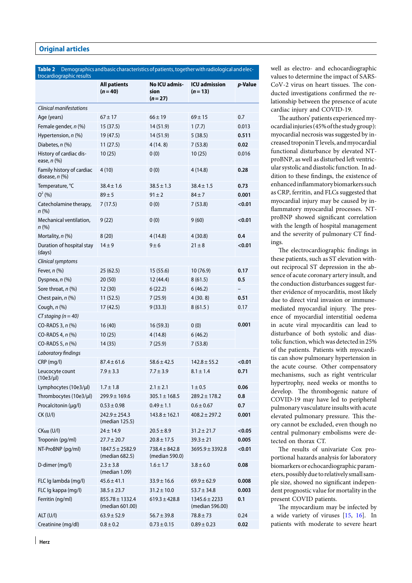| <b>Table 2</b><br>trocardiographic results    | Demographics and basic characteristics of patients, together with radiological and elec- |                                     |                                      |         |  |
|-----------------------------------------------|------------------------------------------------------------------------------------------|-------------------------------------|--------------------------------------|---------|--|
|                                               | <b>All patients</b><br>$(n = 40)$                                                        | No ICU admis-<br>sion<br>$(n=27)$   | <b>ICU admission</b><br>$(n=13)$     | p-Value |  |
| Clinical manifestations                       |                                                                                          |                                     |                                      |         |  |
| Age (years)                                   | $67 \pm 17$                                                                              | $66 \pm 19$                         | $69 \pm 15$                          | 0.7     |  |
| Female gender, n (%)                          | 15(37.5)                                                                                 | 14 (51.9)                           | 1(7.7)                               | 0.013   |  |
| Hypertension, n (%)                           | 19 (47.5)                                                                                | 14 (51.9)                           | 5(38.5)                              | 0.511   |  |
| Diabetes, n (%)                               | 11(27.5)                                                                                 | 4(14.8)                             | 7(53.8)                              | 0.02    |  |
| History of cardiac dis-<br>ease, $n$ $%$      | 10(25)                                                                                   | 0(0)                                | 10(25)                               | 0.016   |  |
| Family history of cardiac<br>disease, $n$ (%) | 4(10)                                                                                    | 0(0)                                | 4 (14.8)                             | 0.28    |  |
| Temperature, °C                               | $38.4 \pm 1.6$                                                                           | $38.5 \pm 1.3$                      | $38.4 \pm 1.5$                       | 0.73    |  |
| $Q^2(96)$                                     | $89 + 5$                                                                                 | $91 \pm 2$                          | $84 + 7$                             | 0.001   |  |
| Catecholamine therapy,<br>n(%)                | 7(17.5)                                                                                  | 0(0)                                | 7(53.8)                              | < 0.01  |  |
| Mechanical ventilation,<br>n(%)               | 9(22)                                                                                    | 0(0)                                | 9(60)                                | < 0.01  |  |
| Mortality, n (%)                              | 8(20)                                                                                    | 4 (14.8)                            | 4 (30.8)                             | 0.4     |  |
| Duration of hospital stay<br>(days)           | $14 + 9$                                                                                 | $9 \pm 6$                           | $21 \pm 8$                           | < 0.01  |  |
| Clinical symptoms                             |                                                                                          |                                     |                                      |         |  |
| Fever, n (%)                                  | 25 (62.5)                                                                                | 15(55.6)                            | 10(76.9)                             | 0.17    |  |
| Dyspnea, n (%)                                | 20(50)                                                                                   | 12 (44.4)                           | 8(61.5)                              | $0.5\,$ |  |
| Sore throat, n (%)                            | 12(30)                                                                                   | 6(22.2)                             | 6(46.2)                              |         |  |
| Chest pain, n (%)                             | 11(52.5)                                                                                 | 7(25.9)                             | 4(30.8)                              | 0.51    |  |
| Cough, n (%)                                  | 17 (42.5)                                                                                | 9(33.3)                             | 8(61.5)                              | 0.17    |  |
| $CT$ staging (n = 40)                         |                                                                                          |                                     |                                      |         |  |
| CO-RADS 3, n (%)                              | 16(40)                                                                                   | 16(59.3)                            | 0(0)                                 | 0.001   |  |
| CO-RADS 4, n (%)                              | 10(25)                                                                                   | 4(14.8)                             | 6(46.2)                              |         |  |
| CO-RADS 5, n (%)                              | 14(35)                                                                                   | 7(25.9)                             | 7(53.8)                              |         |  |
| Laboratory findings                           |                                                                                          |                                     |                                      |         |  |
| CRP (mg/l)                                    | $87.4 \pm 61.6$                                                                          | $58.6 \pm 42.5$                     | $142.8 \pm 55.2$                     | < 0.01  |  |
| Leucocyte count<br>$(10e3/\mu l)$             | $7.9 \pm 3.3$                                                                            | $7.7 \pm 3.9$                       | $8.1 \pm 1.4$                        | 0.71    |  |
| Lymphocytes (10e3/µl)                         | $1.7 \pm 1.8$                                                                            | $2.1 \pm 2.1$                       | $1 \pm 0.5$                          | 0.06    |  |
| Thrombocytes (10e3/µl)                        | $299.9 \pm 169.6$                                                                        | $305.1 \pm 168.5$                   | $289.2 \pm 178.2$                    | 0.8     |  |
| Procalcitonin (µg/l)                          | $0.53 \pm 0.98$                                                                          | $0.49 \pm 1.1$                      | $0.6 \pm 0.67$                       | 0.7     |  |
| $CK$ (U/I)                                    | $242.9 \pm 254.3$<br>(median 125.5)                                                      | $143.8 \pm 162.1$                   | $408.2 \pm 297.2$                    | 0.001   |  |
| $CKMB$ (U/I)                                  | $24 \pm 14.9$                                                                            | $20.5 \pm 8.9$                      | $31.2 \pm 21.7$                      | < 0.05  |  |
| Troponin (pg/ml)                              | $27.7 \pm 20.7$                                                                          | $20.8 \pm 17.5$                     | $39.3 \pm 21$                        | 0.005   |  |
| NT-ProBNP (pg/ml)                             | $1847.5 \pm 2582.9$<br>(median 682.5)                                                    | $738.4 \pm 842.8$<br>(median 590.0) | $3695.9 \pm 3392.8$                  | < 0.01  |  |
| D-dimer (mg/l)                                | $2.3 \pm 3.8$<br>(median 1.09)                                                           | $1.6 \pm 1.7$                       | $3.8 \pm 6.0$                        | 0.08    |  |
| FLC Ig lambda (mg/l)                          | $45.6 \pm 41.1$                                                                          | $33.9 \pm 16.6$                     | $69.9 \pm 62.9$                      | 0.008   |  |
| FLC Ig kappa (mg/l)                           | $38.5 \pm 23.7$                                                                          | $31.2 \pm 10.0$                     | $53.7 \pm 34.8$                      | 0.003   |  |
| Ferritin (ng/ml)                              | $855.78 \pm 1332.4$<br>(median 601.00)                                                   | $619.3 \pm 428.8$                   | $1345.6 \pm 2233$<br>(median 596.00) | 0.1     |  |
| ALT (U/I)                                     | $63.9 \pm 52.9$                                                                          | $56.7 \pm 39.8$                     | $78.8 \pm 73$                        | 0.24    |  |
| Creatinine (mg/dl)                            | $0.8 \pm 0.2$                                                                            | $0.73 \pm 0.15$                     | $0.89 \pm 0.23$                      | 0.02    |  |

**Herz**

well as electro- and echocardiographic values to determine the impact of SARS-CoV-2 virus on heart tissues. The conducted investigations confirmed the relationship between the presence of acute cardiac injury and COVID-19.

The authors' patients experienced myocardialinjuries (45% of the studygroup): myocardial necrosis was suggested by increased troponinTlevels, andmyocardial functional disturbance by elevated NTproBNP, as well as disturbed left ventricular systolic and diastolic function. In addition to these findings, the existence of enhancedinflammatory biomarkers such as CRP, ferritin, and FLCs suggested that myocardial injury may be caused by inflammatory myocardial processes. NTproBNP showed significant correlation with the length of hospital management and the severity of pulmonary CT findings.

The electrocardiographic findings in these patients, such as ST elevation without reciprocal ST depression in the absence of acute coronary artery insult, and the conduction disturbances suggest further evidence of myocarditis, most likely due to direct viral invasion or immunemediated myocardial injury. The presence of myocardial interstitial oedema in acute viral myocarditis can lead to disturbance of both systolic and diastolic function, which was detected in 25% of the patients. Patients with myocarditis can show pulmonary hypertension in the acute course. Other compensatory mechanisms, such as right ventricular hypertrophy, need weeks or months to develop. The thrombogenic nature of COVID-19 may have led to peripheral pulmonary vasculature insults with acute elevated pulmonary pressure. This theory cannot be excluded, even though no central pulmonary embolisms were detected on thorax CT.

The results of univariate Cox proportional hazards analysis for laboratory biomarkers or echocardiographic parameters, possibly due to relatively small sample size, showed no significant independent prognostic value for mortality in the present COVID patients.

The myocardium may be infected by a wide variety of viruses [15, 16]. In patients with moderate to severe heart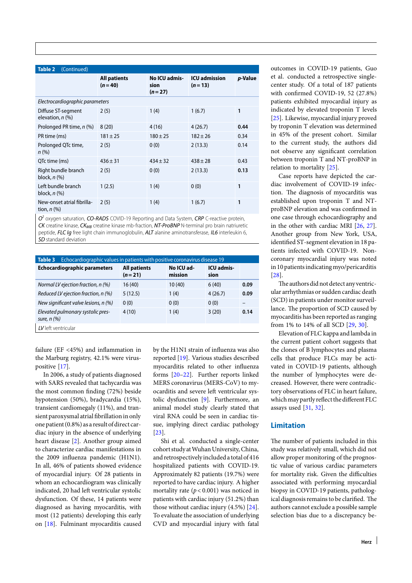| <b>Table 2</b><br>(Continued)                  |                                   |                                   |                                  |         |  |
|------------------------------------------------|-----------------------------------|-----------------------------------|----------------------------------|---------|--|
|                                                | <b>All patients</b><br>$(n = 40)$ | No ICU admis-<br>sion<br>$(n=27)$ | <b>ICU</b> admission<br>$(n=13)$ | p-Value |  |
| Electrocardiographic parameters                |                                   |                                   |                                  |         |  |
| Diffuse ST-segment<br>elevation, $n$ $(\%)$    | 2(5)                              | 1(4)                              | 1(6.7)                           | 1       |  |
| Prolonged PR time, n (%)                       | 8(20)                             | 4(16)                             | 4(26.7)                          | 0.44    |  |
| PR time (ms)                                   | $181 \pm 25$                      | $180 \pm 25$                      | $182 + 26$                       | 0.34    |  |
| Prolonged QTc time,<br>$n$ (%)                 | 2(5)                              | 0(0)                              | 2(13.3)                          | 0.14    |  |
| QTc time (ms)                                  | $436 \pm 31$                      | $434 \pm 32$                      | $438 \pm 28$                     | 0.43    |  |
| Right bundle branch<br>block, $n$ $(\%)$       | 2(5)                              | 0(0)                              | 2(13.3)                          | 0.13    |  |
| Left bundle branch<br>block, $n$ $(\%)$        | 1(2.5)                            | 1(4)                              | 0(0)                             | 1       |  |
| New-onset atrial fibrilla-<br>tion, $n$ $(\%)$ | 2(5)                              | 1(4)                              | 1(6.7)                           | 1       |  |

*O2* oxygen saturation, *CO-RADS* COVID-19 Reporting and Data System, *CRP* C-reactive protein, *CK* creatine kinase, *CKMB* creatine kinase mb-fraction, *NT-ProBNP* N-terminal pro brain natriuretic peptide, *FLC Ig* free light chain immunoglobulin, *ALT* alanine aminotransferase, *IL6* interleukin 6, *SD* standard deviation

| Echocardiographic values in patients with positive coronavirus disease 19<br>Table 3 |                                 |                       |                           |      |  |  |
|--------------------------------------------------------------------------------------|---------------------------------|-----------------------|---------------------------|------|--|--|
| <b>Echocardiographic parameters</b>                                                  | <b>All patients</b><br>$(n=21)$ | No ICU ad-<br>mission | <b>ICU</b> admis-<br>sion |      |  |  |
| Normal LV ejection fraction, n (%)                                                   | 16(40)                          | 10(40)                | 6(40)                     | 0.09 |  |  |
| Reduced LV ejection fraction, n (%)                                                  | 5(12.5)                         | 1(4)                  | 4(26.7)                   | 0.09 |  |  |
| New significant valve lesions, n (%)                                                 | 0(0)                            | 0(0)                  | 0(0)                      |      |  |  |
| Elevated pulmonary systolic pres-<br>sure, $n$ $(\%)$                                | 4(10)                           | 1(4)                  | 3(20)                     | 0.14 |  |  |
| LV left ventricular                                                                  |                                 |                       |                           |      |  |  |

failure (EF <45%) and inflammation in the Marburg registry, 42.1% were viruspositive [17].

In 2006, a study of patients diagnosed with SARS revealed that tachycardia was the most common finding (72%) beside hypotension (50%), bradycardia (15%), transient cardiomegaly (11%), and transient paroxysmal atrial fibrillation in only one patient (0.8%) as a result of direct cardiac injury in the absence of underlying heart disease [2]. Another group aimed to characterize cardiac manifestations in the 2009 influenza pandemic (H1N1). In all, 46% of patients showed evidence of myocardial injury. Of 28 patients in whom an echocardiogram was clinically indicated, 20 had left ventricular systolic dysfunction. Of these, 14 patients were diagnosed as having myocarditis, with most (12 patients) developing this early on [18]. Fulminant myocarditis caused

by the H1N1 strain of influenza was also reported [19]. Various studies described myocarditis related to other influenza forms [20–22]. Further reports linked MERS coronavirus (MERS-CoV) to myocarditis and severe left ventricular systolic dysfunction [9]. Furthermore, an animal model study clearly stated that viral RNA could be seen in cardiac tissue, implying direct cardiac pathology [23].

Shi et al. conducted a single-center cohort study at Wuhan University, China, and retrospectivelyincluded a total of 416 hospitalized patients with COVID-19. Approximately 82 patients (19.7%) were reported to have cardiac injury. A higher mortality rate (*p*< 0.001) was noticed in patients with cardiac injury (51.2%) than those without cardiac injury (4.5%) [24]. To evaluate the association of underlying CVD and myocardial injury with fatal outcomes in COVID-19 patients, Guo et al. conducted a retrospective singlecenter study. Of a total of 187 patients with confirmed COVID-19, 52 (27.8%) patients exhibited myocardial injury as indicated by elevated troponin T levels [25]. Likewise, myocardial injury proved by troponin T elevation was determined in 45% of the present cohort. Similar to the current study, the authors did not observe any significant correlation between troponin T and NT-proBNP in relation to mortality [25].

Case reports have depicted the cardiac involvement of COVID-19 infection. The diagnosis of myocarditis was established upon troponin T and NTproBNP elevation and was confirmed in one case through echocardiography and in the other with cardiac MRI [26, 27]. Another group from New York, USA, identified ST-segment elevation in 18 patients infected with COVID-19. Noncoronary myocardial injury was noted in 10 patients indicating myo/pericarditis [28].

The authors did not detect any ventricular arrhythmias or sudden cardiac death (SCD) in patients under monitor surveillance. The proportion of SCD caused by myocarditis has been reported as ranging from 1% to 14% of all SCD [29, 30].

Elevation of FLC kappa and lambda in the current patient cohort suggests that the clones of B lymphocytes and plasma cells that produce FLCs may be activated in COVID-19 patients, although the number of lymphocytes were decreased. However, there were contradictory observations of FLC in heart failure, which may partly reflect the different FLC assays used [31, 32].

# **Limitation**

The number of patients included in this study was relatively small, which did not allow proper monitoring of the prognostic value of various cardiac parameters for mortality risk. Given the difficulties associated with performing myocardial biopsy in COVID-19 patients, pathological diagnosis remains to be clarified. The authors cannot exclude a possible sample selection bias due to a discrepancy be-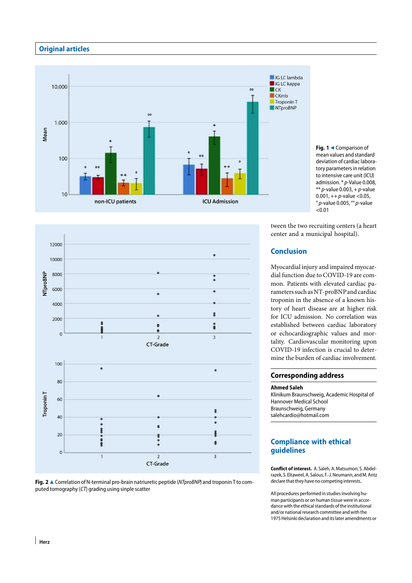

Fig. 1 << Comparison of mean values and standard deviation of cardiac laboratory parameters in relation to intensive care unit (ICU) admission. \* *p*-Value 0.008, \*\* *p*-value 0.003, + *p*-value 0.001, ++ *p*-value <0.05, ° *p*-value 0.005, °° *p*-value  $\sim 0.01$ 

tween the two recruiting centers (a heart center and a municipal hospital).

# **Conclusion**

Myocardial injury and impaired myocardial function due to COVID-19 are common. Patients with elevated cardiac parameters such asNT-proBNPand cardiac troponin in the absence of a known history of heart disease are at higher risk for ICU admission. No correlation was established between cardiac laboratory or echocardiographic values and mortality. Cardiovascular monitoring upon COVID-19 infection is crucial to determine the burden of cardiac involvement.

### **Corresponding address**

#### **Ahmed Saleh**

Klinikum Braunschweig, Academic Hospital of Hannover Medical School Braunschweig, Germany salehcardio@hotmail.com

# **Compliance with ethical guidelines**

**Conflict of interest.** A. Saleh, A. Matsumori, S. Abdelrazek, S. Eltaweel, A. Salous, F.-J.Neumann, andM. Antz declare that they have no competing interests.

All procedures performed in studies involving human participants or on human tissue were in accordance with the ethical standards of the institutional and/or national research committee and with the 1975 Helsinki declaration and its later amendments or